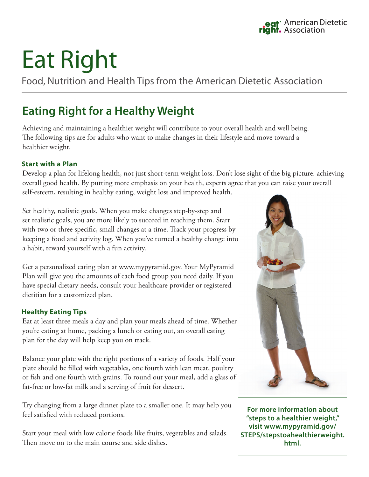# Eat Right

Food, Nutrition and Health Tips from the American Dietetic Association

## **Eating Right for a Healthy Weight**

Achieving and maintaining a healthier weight will contribute to your overall health and well being. The following tips are for adults who want to make changes in their lifestyle and move toward a healthier weight.

#### **Start with a Plan**

Develop a plan for lifelong health, not just short-term weight loss. Don't lose sight of the big picture: achieving overall good health. By putting more emphasis on your health, experts agree that you can raise your overall self-esteem, resulting in healthy eating, weight loss and improved health.

Set healthy, realistic goals. When you make changes step-by-step and set realistic goals, you are more likely to succeed in reaching them. Start with two or three specific, small changes at a time. Track your progress by keeping a food and activity log. When you've turned a healthy change into a habit, reward yourself with a fun activity.

Get a personalized eating plan at www.mypyramid.gov. Your MyPyramid Plan will give you the amounts of each food group you need daily. If you have special dietary needs, consult your healthcare provider or registered dietitian for a customized plan.

#### **Healthy Eating Tips**

Eat at least three meals a day and plan your meals ahead of time. Whether you're eating at home, packing a lunch or eating out, an overall eating plan for the day will help keep you on track.

Balance your plate with the right portions of a variety of foods. Half your plate should be filled with vegetables, one fourth with lean meat, poultry or fish and one fourth with grains. To round out your meal, add a glass of fat-free or low-fat milk and a serving of fruit for dessert.

Try changing from a large dinner plate to a smaller one. It may help you feel satisfied with reduced portions.

Start your meal with low calorie foods like fruits, vegetables and salads. Then move on to the main course and side dishes.



**For more information about "steps to a healthier weight," visit www.mypyramid.gov/ STEPS/stepstoahealthierweight. html.**